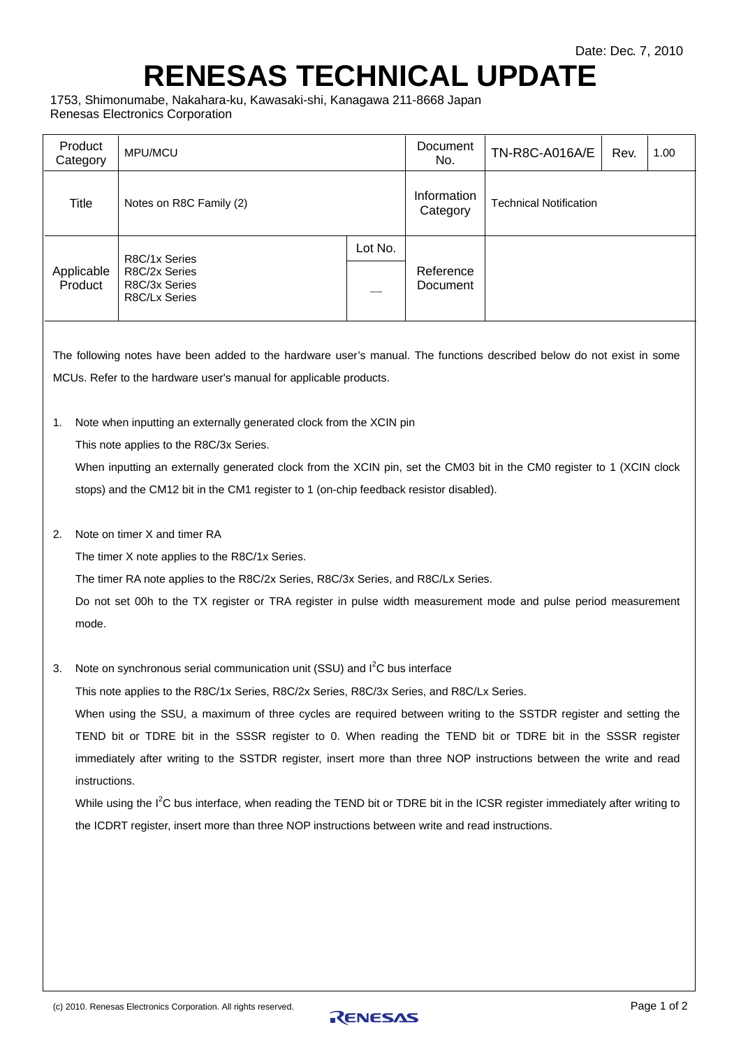## **RENESAS TECHNICAL UPDATE**

1753, Shimonumabe, Nakahara-ku, Kawasaki-shi, Kanagawa 211-8668 Japan Renesas Electronics Corporation

| Product<br>Category                                                                                                                                                                                                                                                                                                                                                                                                                                                                                                                                                                                                                                                                                                                                                                                               | MPU/MCU                                                          |         | Document<br>No.         | TN-R8C-A016A/E                | Rev. | 1.00 |
|-------------------------------------------------------------------------------------------------------------------------------------------------------------------------------------------------------------------------------------------------------------------------------------------------------------------------------------------------------------------------------------------------------------------------------------------------------------------------------------------------------------------------------------------------------------------------------------------------------------------------------------------------------------------------------------------------------------------------------------------------------------------------------------------------------------------|------------------------------------------------------------------|---------|-------------------------|-------------------------------|------|------|
| <b>Title</b>                                                                                                                                                                                                                                                                                                                                                                                                                                                                                                                                                                                                                                                                                                                                                                                                      | Notes on R8C Family (2)                                          |         | Information<br>Category | <b>Technical Notification</b> |      |      |
| Applicable<br>Product                                                                                                                                                                                                                                                                                                                                                                                                                                                                                                                                                                                                                                                                                                                                                                                             | R8C/1x Series<br>R8C/2x Series<br>R8C/3x Series<br>R8C/Lx Series | Lot No. | Reference<br>Document   |                               |      |      |
| The following notes have been added to the hardware user's manual. The functions described below do not exist in some<br>MCUs. Refer to the hardware user's manual for applicable products.                                                                                                                                                                                                                                                                                                                                                                                                                                                                                                                                                                                                                       |                                                                  |         |                         |                               |      |      |
| Note when inputting an externally generated clock from the XCIN pin<br>1.<br>This note applies to the R8C/3x Series.<br>When inputting an externally generated clock from the XCIN pin, set the CM03 bit in the CM0 register to 1 (XCIN clock<br>stops) and the CM12 bit in the CM1 register to 1 (on-chip feedback resistor disabled).                                                                                                                                                                                                                                                                                                                                                                                                                                                                           |                                                                  |         |                         |                               |      |      |
| Note on timer X and timer RA<br>2.<br>The timer X note applies to the R8C/1x Series.<br>The timer RA note applies to the R8C/2x Series, R8C/3x Series, and R8C/Lx Series.<br>Do not set 00h to the TX register or TRA register in pulse width measurement mode and pulse period measurement<br>mode.                                                                                                                                                                                                                                                                                                                                                                                                                                                                                                              |                                                                  |         |                         |                               |      |      |
| Note on synchronous serial communication unit (SSU) and I <sup>2</sup> C bus interface<br>3.<br>This note applies to the R8C/1x Series, R8C/2x Series, R8C/3x Series, and R8C/Lx Series.<br>When using the SSU, a maximum of three cycles are required between writing to the SSTDR register and setting the<br>TEND bit or TDRE bit in the SSSR register to 0. When reading the TEND bit or TDRE bit in the SSSR register<br>immediately after writing to the SSTDR register, insert more than three NOP instructions between the write and read<br>instructions.<br>While using the I <sup>2</sup> C bus interface, when reading the TEND bit or TDRE bit in the ICSR register immediately after writing to<br>the ICDRT register, insert more than three NOP instructions between write and read instructions. |                                                                  |         |                         |                               |      |      |